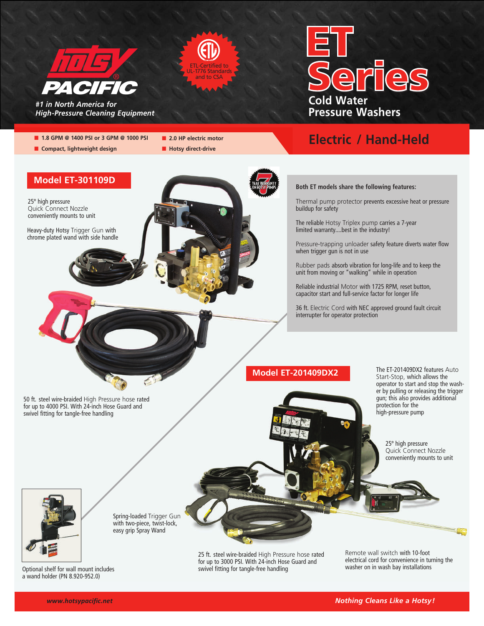

**n** Compact, lightweight design

**Model ET-301109D**

Heavy-duty Hotsy Trigger Gun with chrome plated wand with side handle

25º high pressure Quick Connect Nozzle conveniently mounts to unit



| <b>ETL-Certified to</b>                |  |
|----------------------------------------|--|
| <b>UL-1776 Standards</b><br>and to CSA |  |
|                                        |  |

■ 1.8 GPM @ 1400 PSI or 3 GPM @ 1000 PSI **n** 2.0 HP electric motor

 $\blacksquare$  **Hotsy direct-drive** 



# **Electric / Hand-Held**



Thermal pump protector prevents excessive heat or pressure buildup for safety

The reliable Hotsy Triplex pump carries a 7-year limited warranty....best in the industry!

Pressure-trapping unloader safety feature diverts water flow when trigger gun is not in use

Rubber pads absorb vibration for long-life and to keep the unit from moving or "walking" while in operation

Reliable industrial Motor with 1725 RPM, reset button, capacitor start and full-service factor for longer life

36 ft. Electric Cord with NEC approved ground fault circuit interrupter for operator protection

### **Model ET-201409DX2**

The ET-201409DX2 features Auto Start-Stop, which allows the operator to start and stop the washer by pulling or releasing the trigger gun; this also provides additional protection for the high-pressure pump

> 25º high pressure Quick Connect Nozzle conveniently mounts to unit



Spring-loaded Trigger Gun with two-piece, twist-lock, easy grip Spray Wand

> 25 ft. steel wire-braided High Pressure hose rated for up to 3000 PSI. With 24-inch Hose Guard and swivel fitting for tangle-free handling

Remote wall switch with 10-foot electrical cord for convenience in turning the washer on in wash bay installations

Optional shelf for wall mount includes a wand holder (PN 8.920-952.0)

50 ft. steel wire-braided High Pressure hose rated for up to 4000 PSI. With 24-inch Hose Guard and

swivel fitting for tangle-free handling